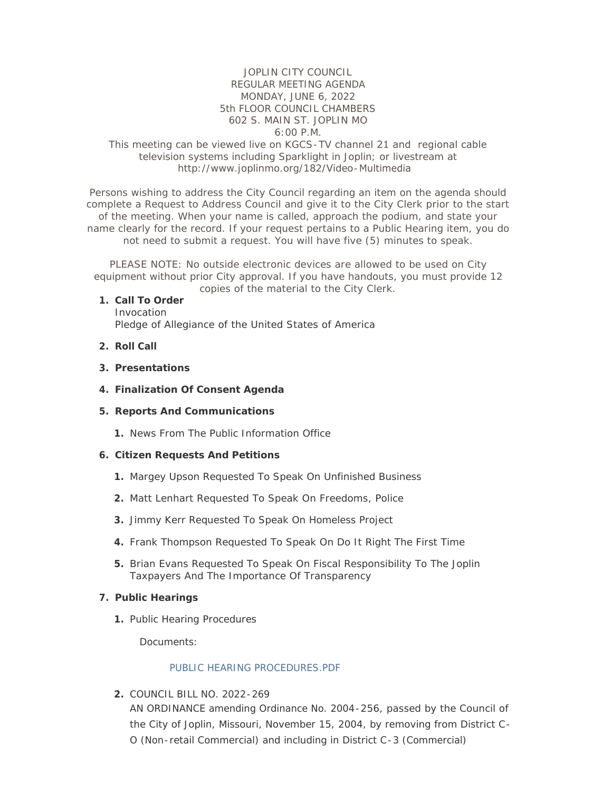# JOPLIN CITY COUNCIL REGULAR MEETING AGENDA MONDAY, JUNE 6, 2022 5th FLOOR COUNCIL CHAMBERS 602 S. MAIN ST. JOPLIN MO 6:00 P.M.

### This meeting can be viewed live on KGCS-TV channel 21 and regional cable television systems including Sparklight in Joplin; or livestream at http://www.joplinmo.org/182/Video-Multimedia

Persons wishing to address the City Council regarding an item on the agenda should complete a Request to Address Council and give it to the City Clerk prior to the start of the meeting. When your name is called, approach the podium, and state your name clearly for the record. If your request pertains to a Public Hearing item, you do not need to submit a request. You will have five (5) minutes to speak.

PLEASE NOTE: No outside electronic devices are allowed to be used on City equipment without prior City approval. If you have handouts, you must provide 12 copies of the material to the City Clerk.

#### **Call To Order 1.**

Invocation Pledge of Allegiance of the United States of America

- **Roll Call 2.**
- **Presentations 3.**
- **Finalization Of Consent Agenda 4.**

#### **Reports And Communications 5.**

1. News From The Public Information Office

#### **Citizen Requests And Petitions 6.**

- 1. Margey Upson Requested To Speak On Unfinished Business
- Matt Lenhart Requested To Speak On Freedoms, Police **2.**
- Jimmy Kerr Requested To Speak On Homeless Project **3.**
- Frank Thompson Requested To Speak On Do It Right The First Time **4.**
- Brian Evans Requested To Speak On Fiscal Responsibility To The Joplin **5.** Taxpayers And The Importance Of Transparency

#### **Public Hearings 7.**

1. Public Hearing Procedures

Documents:

#### PUBLIC HEARING PROCEDURES PDF

COUNCIL BILL NO. 2022-269 **2.**

AN ORDINANCE amending Ordinance No. 2004-256, passed by the Council of the City of Joplin, Missouri, November 15, 2004, by removing from District C-O (Non-retail Commercial) and including in District C-3 (Commercial)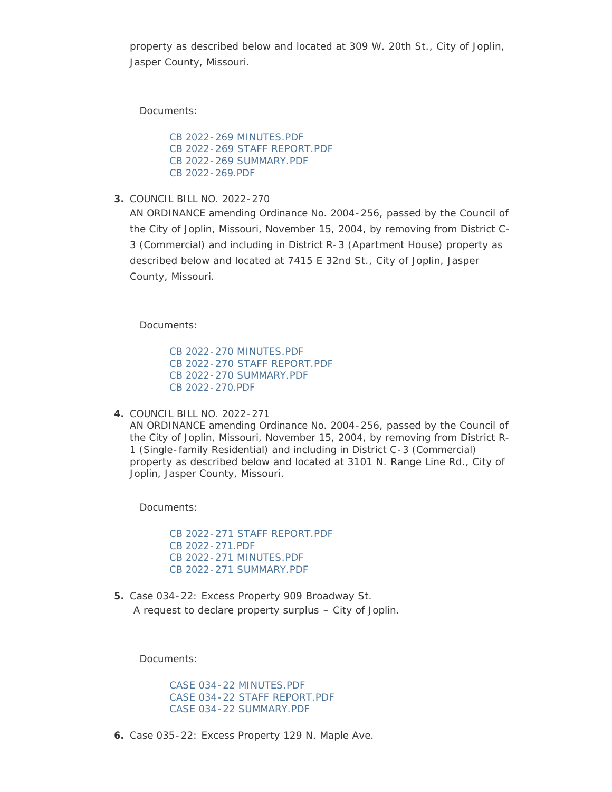property as described below and located at 309 W. 20th St., City of Joplin, Jasper County, Missouri.

Documents:

[CB 2022-269 MINUTES.PDF](http://www.joplinmo.org/AgendaCenter/ViewFile/Item/8557?fileID=51857) [CB 2022-269 STAFF REPORT.PDF](http://www.joplinmo.org/AgendaCenter/ViewFile/Item/8557?fileID=51858) [CB 2022-269 SUMMARY.PDF](http://www.joplinmo.org/AgendaCenter/ViewFile/Item/8557?fileID=51859) [CB 2022-269.PDF](http://www.joplinmo.org/AgendaCenter/ViewFile/Item/8557?fileID=51860)

COUNCIL BILL NO. 2022-270 **3.**

AN ORDINANCE amending Ordinance No. 2004-256, passed by the Council of the City of Joplin, Missouri, November 15, 2004, by removing from District C-3 (Commercial) and including in District R-3 (Apartment House) property as described below and located at 7415 E 32nd St., City of Joplin, Jasper County, Missouri.

Documents:

[CB 2022-270 MINUTES.PDF](http://www.joplinmo.org/AgendaCenter/ViewFile/Item/8558?fileID=51861) [CB 2022-270 STAFF REPORT.PDF](http://www.joplinmo.org/AgendaCenter/ViewFile/Item/8558?fileID=51862) [CB 2022-270 SUMMARY.PDF](http://www.joplinmo.org/AgendaCenter/ViewFile/Item/8558?fileID=51863) [CB 2022-270.PDF](http://www.joplinmo.org/AgendaCenter/ViewFile/Item/8558?fileID=51864)

COUNCIL BILL NO. 2022-271 **4.**

AN ORDINANCE amending Ordinance No. 2004-256, passed by the Council of the City of Joplin, Missouri, November 15, 2004, by removing from District R-1 (Single-family Residential) and including in District C-3 (Commercial) property as described below and located at 3101 N. Range Line Rd., City of Joplin, Jasper County, Missouri.

Documents:

[CB 2022-271 STAFF REPORT.PDF](http://www.joplinmo.org/AgendaCenter/ViewFile/Item/8559?fileID=51866) [CB 2022-271.PDF](http://www.joplinmo.org/AgendaCenter/ViewFile/Item/8559?fileID=51868) [CB 2022-271 MINUTES.PDF](http://www.joplinmo.org/AgendaCenter/ViewFile/Item/8559?fileID=51966) [CB 2022-271 SUMMARY.PDF](http://www.joplinmo.org/AgendaCenter/ViewFile/Item/8559?fileID=51967)

5. Case 034-22: Excess Property 909 Broadway St. A request to declare property surplus – City of Joplin.

Documents:

[CASE 034-22 MINUTES.PDF](http://www.joplinmo.org/AgendaCenter/ViewFile/Item/8551?fileID=51839) [CASE 034-22 STAFF REPORT.PDF](http://www.joplinmo.org/AgendaCenter/ViewFile/Item/8551?fileID=51840) [CASE 034-22 SUMMARY.PDF](http://www.joplinmo.org/AgendaCenter/ViewFile/Item/8551?fileID=51841)

6. Case 035-22: Excess Property 129 N. Maple Ave.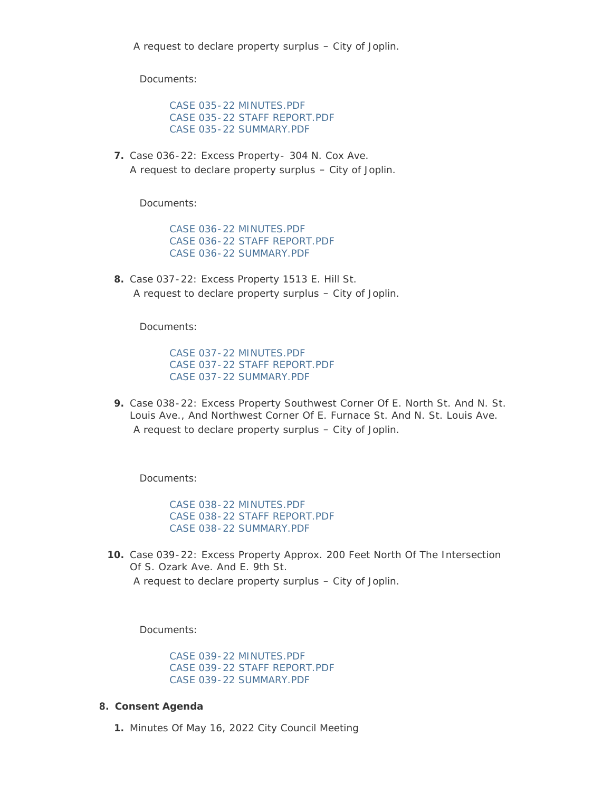[CASE 035-22 MINUTES.PDF](http://www.joplinmo.org/AgendaCenter/ViewFile/Item/8552?fileID=51842) [CASE 035-22 STAFF REPORT.PDF](http://www.joplinmo.org/AgendaCenter/ViewFile/Item/8552?fileID=51843) [CASE 035-22 SUMMARY.PDF](http://www.joplinmo.org/AgendaCenter/ViewFile/Item/8552?fileID=51844)

**7.** Case 036-22: Excess Property- 304 N. Cox Ave. A request to declare property surplus – City of Joplin.

Documents:

[CASE 036-22 MINUTES.PDF](http://www.joplinmo.org/AgendaCenter/ViewFile/Item/8553?fileID=51845) [CASE 036-22 STAFF REPORT.PDF](http://www.joplinmo.org/AgendaCenter/ViewFile/Item/8553?fileID=51846) [CASE 036-22 SUMMARY.PDF](http://www.joplinmo.org/AgendaCenter/ViewFile/Item/8553?fileID=51847)

Case 037-22: Excess Property 1513 E. Hill St. **8.** A request to declare property surplus – City of Joplin.

Documents:

[CASE 037-22 MINUTES.PDF](http://www.joplinmo.org/AgendaCenter/ViewFile/Item/8554?fileID=51848) [CASE 037-22 STAFF REPORT.PDF](http://www.joplinmo.org/AgendaCenter/ViewFile/Item/8554?fileID=51849) [CASE 037-22 SUMMARY.PDF](http://www.joplinmo.org/AgendaCenter/ViewFile/Item/8554?fileID=51850)

Case 038-22: Excess Property Southwest Corner Of E. North St. And N. St. **9.** Louis Ave., And Northwest Corner Of E. Furnace St. And N. St. Louis Ave. A request to declare property surplus – City of Joplin.

Documents:

[CASE 038-22 MINUTES.PDF](http://www.joplinmo.org/AgendaCenter/ViewFile/Item/8555?fileID=51851) [CASE 038-22 STAFF REPORT.PDF](http://www.joplinmo.org/AgendaCenter/ViewFile/Item/8555?fileID=51852) [CASE 038-22 SUMMARY.PDF](http://www.joplinmo.org/AgendaCenter/ViewFile/Item/8555?fileID=51853)

**10.** Case 039-22: Excess Property Approx. 200 Feet North Of The Intersection Of S. Ozark Ave. And E. 9th St. A request to declare property surplus – City of Joplin.

Documents:

[CASE 039-22 MINUTES.PDF](http://www.joplinmo.org/AgendaCenter/ViewFile/Item/8556?fileID=51854) [CASE 039-22 STAFF REPORT.PDF](http://www.joplinmo.org/AgendaCenter/ViewFile/Item/8556?fileID=51855) [CASE 039-22 SUMMARY.PDF](http://www.joplinmo.org/AgendaCenter/ViewFile/Item/8556?fileID=51856)

- **Consent Agenda 8.**
	- 1. Minutes Of May 16, 2022 City Council Meeting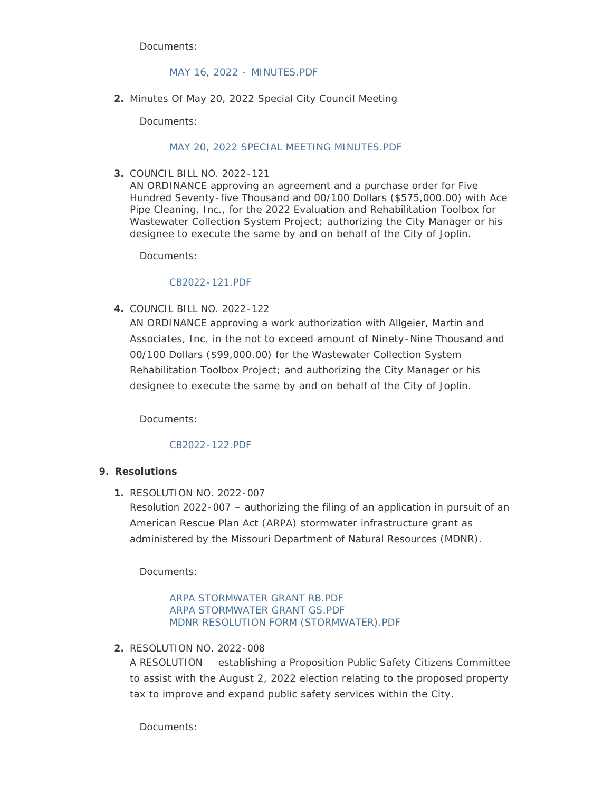### [MAY 16, 2022 -](http://www.joplinmo.org/AgendaCenter/ViewFile/Item/8575?fileID=51931) MINUTES.PDF

Minutes Of May 20, 2022 Special City Council Meeting **2.**

Documents:

### [MAY 20, 2022 SPECIAL MEETING MINUTES.PDF](http://www.joplinmo.org/AgendaCenter/ViewFile/Item/8584?fileID=51990)

COUNCIL BILL NO. 2022-121 **3.**

AN ORDINANCE approving an agreement and a purchase order for Five Hundred Seventy-five Thousand and 00/100 Dollars (\$575,000.00) with Ace Pipe Cleaning, Inc., for the 2022 Evaluation and Rehabilitation Toolbox for Wastewater Collection System Project; authorizing the City Manager or his designee to execute the same by and on behalf of the City of Joplin.

Documents:

### [CB2022-121.PDF](http://www.joplinmo.org/AgendaCenter/ViewFile/Item/8544?fileID=51542)

COUNCIL BILL NO. 2022-122 **4.**

AN ORDINANCE approving a work authorization with Allgeier, Martin and Associates, Inc. in the not to exceed amount of Ninety-Nine Thousand and 00/100 Dollars (\$99,000.00) for the Wastewater Collection System Rehabilitation Toolbox Project; and authorizing the City Manager or his designee to execute the same by and on behalf of the City of Joplin.

Documents:

# [CB2022-122.PDF](http://www.joplinmo.org/AgendaCenter/ViewFile/Item/8545?fileID=51543)

# **Resolutions 9.**

RESOLUTION NO. 2022-007 **1.**

Resolution 2022-007 – authorizing the filing of an application in pursuit of an American Rescue Plan Act (ARPA) stormwater infrastructure grant as administered by the Missouri Department of Natural Resources (MDNR).

Documents:

[ARPA STORMWATER GRANT RB.PDF](http://www.joplinmo.org/AgendaCenter/ViewFile/Item/8569?fileID=51908) [ARPA STORMWATER GRANT GS.PDF](http://www.joplinmo.org/AgendaCenter/ViewFile/Item/8569?fileID=51910) [MDNR RESOLUTION FORM \(STORMWATER\).PDF](http://www.joplinmo.org/AgendaCenter/ViewFile/Item/8569?fileID=51954)

RESOLUTION NO. 2022-008 **2.**

A RESOLUTION establishing a Proposition Public Safety Citizens Committee to assist with the August 2, 2022 election relating to the proposed property tax to improve and expand public safety services within the City.

Documents: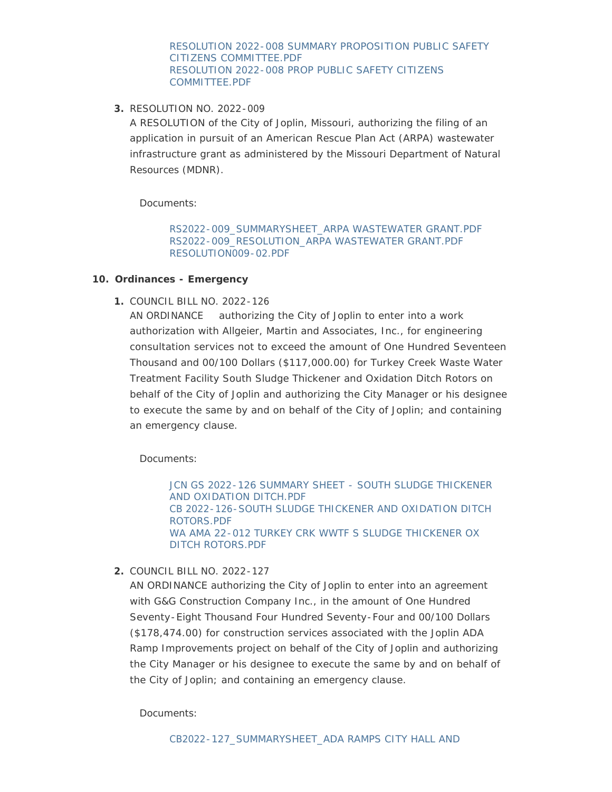[RESOLUTION 2022-008 SUMMARY PROPOSITION PUBLIC SAFETY](http://www.joplinmo.org/AgendaCenter/ViewFile/Item/8570?fileID=51912)  CITIZENS COMMITTEE.PDF [RESOLUTION 2022-008 PROP PUBLIC SAFETY CITIZENS](http://www.joplinmo.org/AgendaCenter/ViewFile/Item/8570?fileID=51911)  COMMITTEE.PDF

RESOLUTION NO. 2022-009 **3.**

A RESOLUTION of the City of Joplin, Missouri, authorizing the filing of an application in pursuit of an American Rescue Plan Act (ARPA) wastewater infrastructure grant as administered by the Missouri Department of Natural Resources (MDNR).

Documents:

[RS2022-009\\_SUMMARYSHEET\\_ARPA WASTEWATER GRANT.PDF](http://www.joplinmo.org/AgendaCenter/ViewFile/Item/8581?fileID=51951) [RS2022-009\\_RESOLUTION\\_ARPA WASTEWATER GRANT.PDF](http://www.joplinmo.org/AgendaCenter/ViewFile/Item/8581?fileID=51952) [RESOLUTION009-02.PDF](http://www.joplinmo.org/AgendaCenter/ViewFile/Item/8581?fileID=51956)

# **Ordinances - Emergency 10.**

COUNCIL BILL NO. 2022-126 **1.**

AN ORDINANCE authorizing the City of Joplin to enter into a work authorization with Allgeier, Martin and Associates, Inc., for engineering consultation services not to exceed the amount of One Hundred Seventeen Thousand and 00/100 Dollars (\$117,000.00) for Turkey Creek Waste Water Treatment Facility South Sludge Thickener and Oxidation Ditch Rotors on behalf of the City of Joplin and authorizing the City Manager or his designee to execute the same by and on behalf of the City of Joplin; and containing an emergency clause.

Documents:

JCN GS 2022-126 SUMMARY SHEET - SOUTH SLUDGE THICKENER AND OXIDATION DITCH.PDF [CB 2022-126-SOUTH SLUDGE THICKENER AND OXIDATION DITCH](http://www.joplinmo.org/AgendaCenter/ViewFile/Item/8582?fileID=51964)  ROTORS.PDF [WA AMA 22-012 TURKEY CRK WWTF S SLUDGE THICKENER OX](http://www.joplinmo.org/AgendaCenter/ViewFile/Item/8582?fileID=51965)  DITCH ROTORS.PDF

COUNCIL BILL NO. 2022-127 **2.**

AN ORDINANCE authorizing the City of Joplin to enter into an agreement with G&G Construction Company Inc., in the amount of One Hundred Seventy-Eight Thousand Four Hundred Seventy-Four and 00/100 Dollars (\$178,474.00) for construction services associated with the Joplin ADA Ramp Improvements project on behalf of the City of Joplin and authorizing the City Manager or his designee to execute the same by and on behalf of the City of Joplin; and containing an emergency clause.

Documents: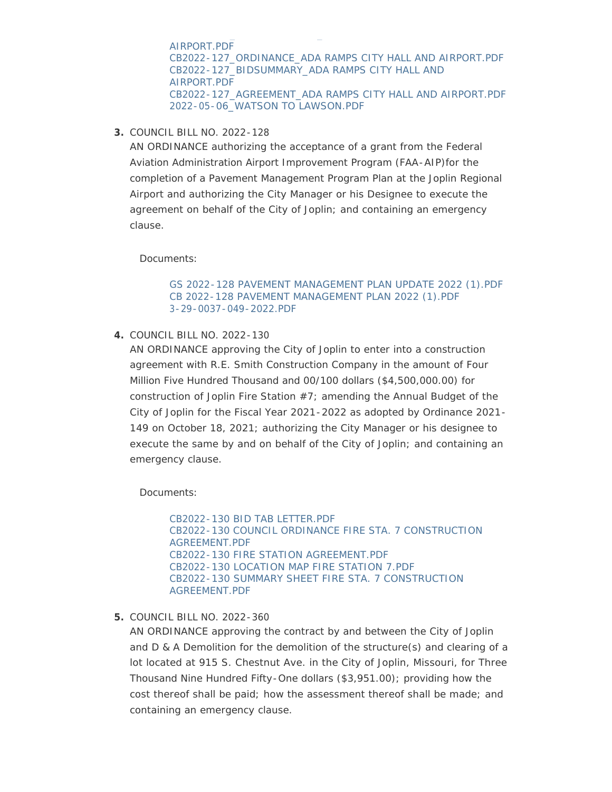AIRPORT.PDF [CB2022-127\\_ORDINANCE\\_ADA RAMPS CITY HALL AND AIRPORT.PDF](http://www.joplinmo.org/AgendaCenter/ViewFile/Item/8583?fileID=51969) [CB2022-127\\_BIDSUMMARY\\_ADA RAMPS CITY HALL AND](http://www.joplinmo.org/AgendaCenter/ViewFile/Item/8583?fileID=51970)  AIRPORT.PDF [CB2022-127\\_AGREEMENT\\_ADA RAMPS CITY HALL AND AIRPORT.PDF](http://www.joplinmo.org/AgendaCenter/ViewFile/Item/8583?fileID=51971) [2022-05-06\\_WATSON TO LAWSON.PDF](http://www.joplinmo.org/AgendaCenter/ViewFile/Item/8583?fileID=51972)

COUNCIL BILL NO. 2022-128 **3.**

AN ORDINANCE authorizing the acceptance of a grant from the Federal Aviation Administration Airport Improvement Program (FAA-AIP)for the completion of a Pavement Management Program Plan at the Joplin Regional Airport and authorizing the City Manager or his Designee to execute the agreement on behalf of the City of Joplin; and containing an emergency clause.

Documents:

#### [GS 2022-128 PAVEMENT MANAGEMENT PLAN UPDATE 2022 \(1\).PDF](http://www.joplinmo.org/AgendaCenter/ViewFile/Item/8560?fileID=51869) [CB 2022-128 PAVEMENT MANAGEMENT PLAN 2022 \(1\).PDF](http://www.joplinmo.org/AgendaCenter/ViewFile/Item/8560?fileID=51870) [3-29-0037-049-2022.PDF](http://www.joplinmo.org/AgendaCenter/ViewFile/Item/8560?fileID=51871)

COUNCIL BILL NO. 2022-130 **4.**

AN ORDINANCE approving the City of Joplin to enter into a construction agreement with R.E. Smith Construction Company in the amount of Four Million Five Hundred Thousand and 00/100 dollars (\$4,500,000.00) for construction of Joplin Fire Station  $#7$ ; amending the Annual Budget of the City of Joplin for the Fiscal Year 2021-2022 as adopted by Ordinance 2021- 149 on October 18, 2021; authorizing the City Manager or his designee to execute the same by and on behalf of the City of Joplin; and containing an emergency clause.

Documents:

[CB2022-130 BID TAB LETTER.PDF](http://www.joplinmo.org/AgendaCenter/ViewFile/Item/8561?fileID=51872) [CB2022-130 COUNCIL ORDINANCE FIRE STA. 7 CONSTRUCTION](http://www.joplinmo.org/AgendaCenter/ViewFile/Item/8561?fileID=51873)  AGREEMENT.PDF [CB2022-130 FIRE STATION AGREEMENT.PDF](http://www.joplinmo.org/AgendaCenter/ViewFile/Item/8561?fileID=51874) [CB2022-130 LOCATION MAP FIRE STATION 7.PDF](http://www.joplinmo.org/AgendaCenter/ViewFile/Item/8561?fileID=51875) [CB2022-130 SUMMARY SHEET FIRE STA. 7 CONSTRUCTION](http://www.joplinmo.org/AgendaCenter/ViewFile/Item/8561?fileID=51876)  AGREEMENT.PDF

#### COUNCIL BILL NO. 2022-360 **5.**

AN ORDINANCE approving the contract by and between the City of Joplin and D & A Demolition for the demolition of the structure(s) and clearing of a lot located at 915 S. Chestnut Ave. in the City of Joplin, Missouri, for Three Thousand Nine Hundred Fifty-One dollars (\$3,951.00); providing how the cost thereof shall be paid; how the assessment thereof shall be made; and containing an emergency clause.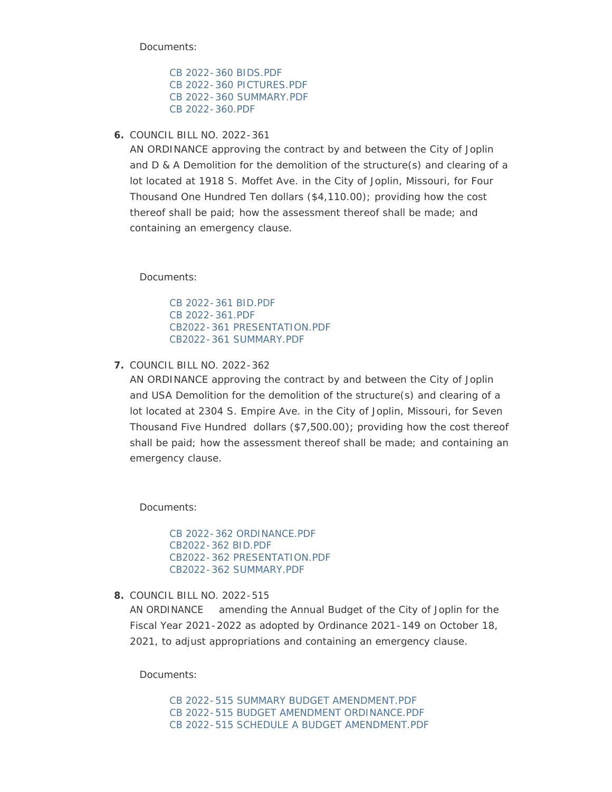[CB 2022-360 BIDS.PDF](http://www.joplinmo.org/AgendaCenter/ViewFile/Item/8543?fileID=51552) [CB 2022-360 PICTURES.PDF](http://www.joplinmo.org/AgendaCenter/ViewFile/Item/8543?fileID=51553) [CB 2022-360 SUMMARY.PDF](http://www.joplinmo.org/AgendaCenter/ViewFile/Item/8543?fileID=51554) [CB 2022-360.PDF](http://www.joplinmo.org/AgendaCenter/ViewFile/Item/8543?fileID=51555)

COUNCIL BILL NO. 2022-361 **6.**

AN ORDINANCE approving the contract by and between the City of Joplin and D & A Demolition for the demolition of the structure(s) and clearing of a lot located at 1918 S. Moffet Ave. in the City of Joplin, Missouri, for Four Thousand One Hundred Ten dollars (\$4,110.00); providing how the cost thereof shall be paid; how the assessment thereof shall be made; and containing an emergency clause.

Documents:

[CB 2022-361 BID.PDF](http://www.joplinmo.org/AgendaCenter/ViewFile/Item/8546?fileID=51756) [CB 2022-361.PDF](http://www.joplinmo.org/AgendaCenter/ViewFile/Item/8546?fileID=51757) [CB2022-361 PRESENTATION.PDF](http://www.joplinmo.org/AgendaCenter/ViewFile/Item/8546?fileID=51758) [CB2022-361 SUMMARY.PDF](http://www.joplinmo.org/AgendaCenter/ViewFile/Item/8546?fileID=51759)

COUNCIL BILL NO. 2022-362 **7.**

AN ORDINANCE approving the contract by and between the City of Joplin and USA Demolition for the demolition of the structure(s) and clearing of a lot located at 2304 S. Empire Ave. in the City of Joplin, Missouri, for Seven Thousand Five Hundred dollars (\$7,500.00); providing how the cost thereof shall be paid; how the assessment thereof shall be made; and containing an emergency clause.

Documents:

[CB 2022-362 ORDINANCE.PDF](http://www.joplinmo.org/AgendaCenter/ViewFile/Item/8547?fileID=51560) [CB2022-362 BID.PDF](http://www.joplinmo.org/AgendaCenter/ViewFile/Item/8547?fileID=51561) [CB2022-362 PRESENTATION.PDF](http://www.joplinmo.org/AgendaCenter/ViewFile/Item/8547?fileID=51562) [CB2022-362 SUMMARY.PDF](http://www.joplinmo.org/AgendaCenter/ViewFile/Item/8547?fileID=51563)

COUNCIL BILL NO. 2022-515 **8.**

AN ORDINANCE amending the Annual Budget of the City of Joplin for the Fiscal Year 2021-2022 as adopted by Ordinance 2021-149 on October 18, 2021, to adjust appropriations and containing an emergency clause.

Documents:

[CB 2022-515 SUMMARY BUDGET AMENDMENT.PDF](http://www.joplinmo.org/AgendaCenter/ViewFile/Item/8562?fileID=51879) [CB 2022-515 BUDGET AMENDMENT ORDINANCE.PDF](http://www.joplinmo.org/AgendaCenter/ViewFile/Item/8562?fileID=51877) [CB 2022-515 SCHEDULE A BUDGET AMENDMENT.PDF](http://www.joplinmo.org/AgendaCenter/ViewFile/Item/8562?fileID=51878)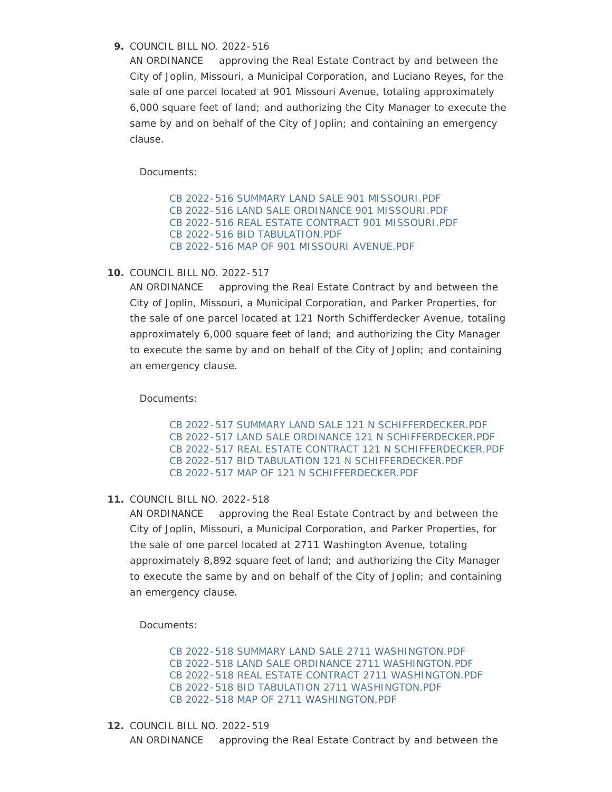COUNCIL BILL NO. 2022-516 **9.**

AN ORDINANCE approving the Real Estate Contract by and between the City of Joplin, Missouri, a Municipal Corporation, and Luciano Reyes, for the sale of one parcel located at 901 Missouri Avenue, totaling approximately 6,000 square feet of land; and authorizing the City Manager to execute the same by and on behalf of the City of Joplin; and containing an emergency clause.

Documents:

[CB 2022-516 SUMMARY LAND SALE 901 MISSOURI.PDF](http://www.joplinmo.org/AgendaCenter/ViewFile/Item/8563?fileID=51884) [CB 2022-516 LAND SALE ORDINANCE 901 MISSOURI.PDF](http://www.joplinmo.org/AgendaCenter/ViewFile/Item/8563?fileID=51881) [CB 2022-516 REAL ESTATE CONTRACT 901 MISSOURI.PDF](http://www.joplinmo.org/AgendaCenter/ViewFile/Item/8563?fileID=51883) [CB 2022-516 BID TABULATION.PDF](http://www.joplinmo.org/AgendaCenter/ViewFile/Item/8563?fileID=51880) [CB 2022-516 MAP OF 901 MISSOURI AVENUE.PDF](http://www.joplinmo.org/AgendaCenter/ViewFile/Item/8563?fileID=51882)

**10. COUNCIL BILL NO. 2022-517** 

AN ORDINANCE approving the Real Estate Contract by and between the City of Joplin, Missouri, a Municipal Corporation, and Parker Properties, for the sale of one parcel located at 121 North Schifferdecker Avenue, totaling approximately 6,000 square feet of land; and authorizing the City Manager to execute the same by and on behalf of the City of Joplin; and containing an emergency clause.

Documents:

[CB 2022-517 SUMMARY LAND SALE 121 N SCHIFFERDECKER.PDF](http://www.joplinmo.org/AgendaCenter/ViewFile/Item/8564?fileID=51889) [CB 2022-517 LAND SALE ORDINANCE 121 N SCHIFFERDECKER.PDF](http://www.joplinmo.org/AgendaCenter/ViewFile/Item/8564?fileID=51886) [CB 2022-517 REAL ESTATE CONTRACT 121 N SCHIFFERDECKER.PDF](http://www.joplinmo.org/AgendaCenter/ViewFile/Item/8564?fileID=51888) [CB 2022-517 BID TABULATION 121 N SCHIFFERDECKER.PDF](http://www.joplinmo.org/AgendaCenter/ViewFile/Item/8564?fileID=51885) [CB 2022-517 MAP OF 121 N SCHIFFERDECKER.PDF](http://www.joplinmo.org/AgendaCenter/ViewFile/Item/8564?fileID=51887)

COUNCIL BILL NO. 2022-518 **11.**

AN ORDINANCE approving the Real Estate Contract by and between the City of Joplin, Missouri, a Municipal Corporation, and Parker Properties, for the sale of one parcel located at 2711 Washington Avenue, totaling approximately 8,892 square feet of land; and authorizing the City Manager to execute the same by and on behalf of the City of Joplin; and containing an emergency clause.

Documents:

[CB 2022-518 SUMMARY LAND SALE 2711 WASHINGTON.PDF](http://www.joplinmo.org/AgendaCenter/ViewFile/Item/8565?fileID=51894) [CB 2022-518 LAND SALE ORDINANCE 2711 WASHINGTON.PDF](http://www.joplinmo.org/AgendaCenter/ViewFile/Item/8565?fileID=51891) [CB 2022-518 REAL ESTATE CONTRACT 2711 WASHINGTON.PDF](http://www.joplinmo.org/AgendaCenter/ViewFile/Item/8565?fileID=51893) [CB 2022-518 BID TABULATION 2711 WASHINGTON.PDF](http://www.joplinmo.org/AgendaCenter/ViewFile/Item/8565?fileID=51890) [CB 2022-518 MAP OF 2711 WASHINGTON.PDF](http://www.joplinmo.org/AgendaCenter/ViewFile/Item/8565?fileID=51892)

COUNCIL BILL NO. 2022-519 **12.** AN ORDINANCE approving the Real Estate Contract by and between the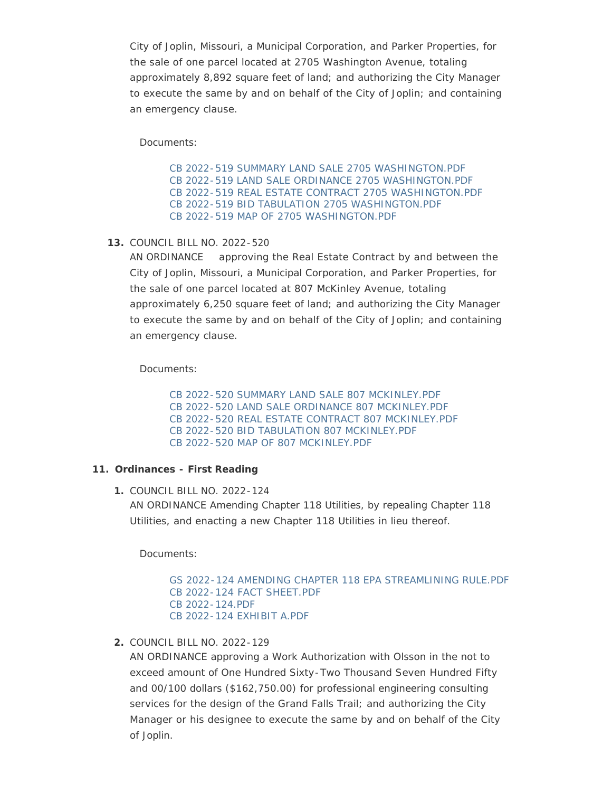City of Joplin, Missouri, a Municipal Corporation, and Parker Properties, for the sale of one parcel located at 2705 Washington Avenue, totaling approximately 8,892 square feet of land; and authorizing the City Manager to execute the same by and on behalf of the City of Joplin; and containing an emergency clause.

Documents:

[CB 2022-519 SUMMARY LAND SALE 2705 WASHINGTON.PDF](http://www.joplinmo.org/AgendaCenter/ViewFile/Item/8566?fileID=51899) [CB 2022-519 LAND SALE ORDINANCE 2705 WASHINGTON.PDF](http://www.joplinmo.org/AgendaCenter/ViewFile/Item/8566?fileID=51896) [CB 2022-519 REAL ESTATE CONTRACT 2705 WASHINGTON.PDF](http://www.joplinmo.org/AgendaCenter/ViewFile/Item/8566?fileID=51898) [CB 2022-519 BID TABULATION 2705 WASHINGTON.PDF](http://www.joplinmo.org/AgendaCenter/ViewFile/Item/8566?fileID=51895) [CB 2022-519 MAP OF 2705 WASHINGTON.PDF](http://www.joplinmo.org/AgendaCenter/ViewFile/Item/8566?fileID=51897)

COUNCIL BILL NO. 2022-520 **13.**

AN ORDINANCE approving the Real Estate Contract by and between the City of Joplin, Missouri, a Municipal Corporation, and Parker Properties, for the sale of one parcel located at 807 McKinley Avenue, totaling approximately 6,250 square feet of land; and authorizing the City Manager to execute the same by and on behalf of the City of Joplin; and containing an emergency clause.

Documents:

[CB 2022-520 SUMMARY LAND SALE 807 MCKINLEY.PDF](http://www.joplinmo.org/AgendaCenter/ViewFile/Item/8567?fileID=51904) [CB 2022-520 LAND SALE ORDINANCE 807 MCKINLEY.PDF](http://www.joplinmo.org/AgendaCenter/ViewFile/Item/8567?fileID=51901) [CB 2022-520 REAL ESTATE CONTRACT 807 MCKINLEY.PDF](http://www.joplinmo.org/AgendaCenter/ViewFile/Item/8567?fileID=51903) [CB 2022-520 BID TABULATION 807 MCKINLEY.PDF](http://www.joplinmo.org/AgendaCenter/ViewFile/Item/8567?fileID=51900) [CB 2022-520 MAP OF 807 MCKINLEY.PDF](http://www.joplinmo.org/AgendaCenter/ViewFile/Item/8567?fileID=51902)

#### **Ordinances - First Reading 11.**

COUNCIL BILL NO. 2022-124 **1.** AN ORDINANCE Amending Chapter 118 Utilities, by repealing Chapter 118 Utilities, and enacting a new Chapter 118 Utilities in lieu thereof.

Documents:

[GS 2022-124 AMENDING CHAPTER 118 EPA STREAMLINING RULE.PDF](http://www.joplinmo.org/AgendaCenter/ViewFile/Item/8548?fileID=51761) [CB 2022-124 FACT SHEET.PDF](http://www.joplinmo.org/AgendaCenter/ViewFile/Item/8548?fileID=51762) [CB 2022-124.PDF](http://www.joplinmo.org/AgendaCenter/ViewFile/Item/8548?fileID=51993) [CB 2022-124 EXHIBIT A.PDF](http://www.joplinmo.org/AgendaCenter/ViewFile/Item/8548?fileID=51992)

COUNCIL BILL NO. 2022-129 **2.**

AN ORDINANCE approving a Work Authorization with Olsson in the not to exceed amount of One Hundred Sixty-Two Thousand Seven Hundred Fifty and 00/100 dollars (\$162,750.00) for professional engineering consulting services for the design of the Grand Falls Trail; and authorizing the City Manager or his designee to execute the same by and on behalf of the City of Joplin.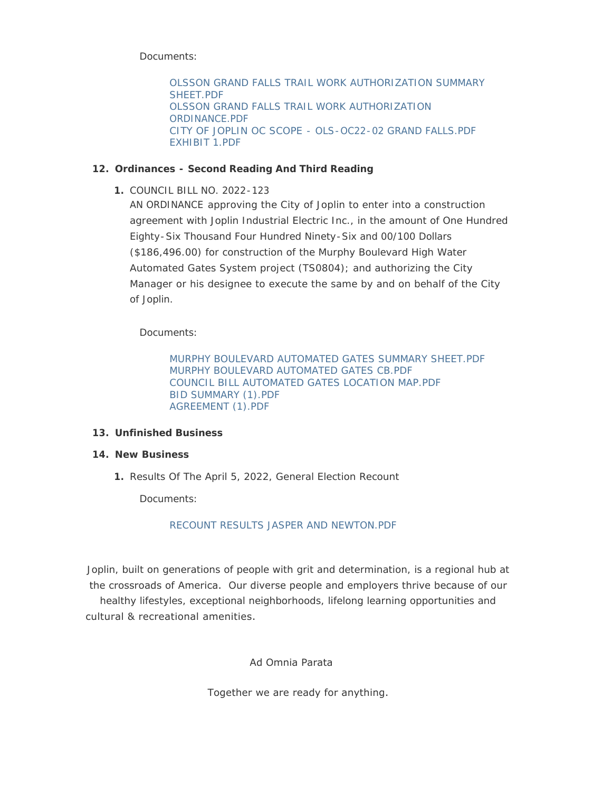[OLSSON GRAND FALLS TRAIL WORK AUTHORIZATION SUMMARY](http://www.joplinmo.org/AgendaCenter/ViewFile/Item/8579?fileID=51942)  SHEET.PDF [OLSSON GRAND FALLS TRAIL WORK AUTHORIZATION](http://www.joplinmo.org/AgendaCenter/ViewFile/Item/8579?fileID=51943)  ORDINANCE.PDF [CITY OF JOPLIN OC SCOPE - OLS-OC22-02 GRAND FALLS.PDF](http://www.joplinmo.org/AgendaCenter/ViewFile/Item/8579?fileID=51944) [EXHIBIT 1.PDF](http://www.joplinmo.org/AgendaCenter/ViewFile/Item/8579?fileID=51945)

# **Ordinances - Second Reading And Third Reading 12.**

COUNCIL BILL NO. 2022-123 **1.**

AN ORDINANCE approving the City of Joplin to enter into a construction agreement with Joplin Industrial Electric Inc., in the amount of One Hundred Eighty-Six Thousand Four Hundred Ninety-Six and 00/100 Dollars (\$186,496.00) for construction of the Murphy Boulevard High Water Automated Gates System project (TS0804); and authorizing the City Manager or his designee to execute the same by and on behalf of the City of Joplin.

Documents:

[MURPHY BOULEVARD AUTOMATED GATES SUMMARY SHEET.PDF](http://www.joplinmo.org/AgendaCenter/ViewFile/Item/8580?fileID=51946) [MURPHY BOULEVARD AUTOMATED GATES CB.PDF](http://www.joplinmo.org/AgendaCenter/ViewFile/Item/8580?fileID=51947) [COUNCIL BILL AUTOMATED GATES LOCATION MAP.PDF](http://www.joplinmo.org/AgendaCenter/ViewFile/Item/8580?fileID=51948) [BID SUMMARY \(1\).PDF](http://www.joplinmo.org/AgendaCenter/ViewFile/Item/8580?fileID=51949) [AGREEMENT \(1\).PDF](http://www.joplinmo.org/AgendaCenter/ViewFile/Item/8580?fileID=51950)

# **Unfinished Business 13.**

# **New Business 14.**

1. Results Of The April 5, 2022, General Election Recount

Documents:

# [RECOUNT RESULTS JASPER AND NEWTON.PDF](http://www.joplinmo.org/AgendaCenter/ViewFile/Item/8576?fileID=51932)

Joplin, built on generations of people with grit and determination, is a regional hub at the crossroads of America. Our diverse people and employers thrive because of our healthy lifestyles, exceptional neighborhoods, lifelong learning opportunities and cultural & recreational amenities.

Ad Omnia Parata

Together we are ready for anything.